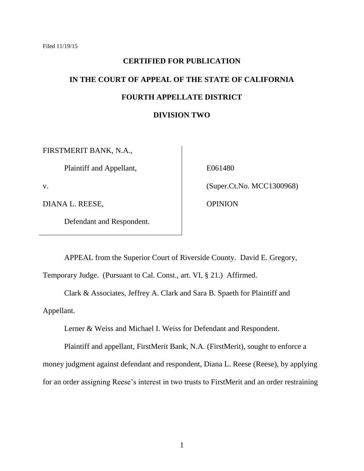# **CERTIFIED FOR PUBLICATION IN THE COURT OF APPEAL OF THE STATE OF CALIFORNIA FOURTH APPELLATE DISTRICT DIVISION TWO**

FIRSTMERIT BANK, N.A.,

Plaintiff and Appellant,

v.

DIANA L. REESE,

Defendant and Respondent.

E061480

(Super.Ct.No. MCC1300968)

**OPINION** 

APPEAL from the Superior Court of Riverside County. David E. Gregory, Temporary Judge. (Pursuant to Cal. Const., art. VI, § 21.) Affirmed.

Clark & Associates, Jeffrey A. Clark and Sara B. Spaeth for Plaintiff and

Appellant.

Lerner & Weiss and Michael I. Weiss for Defendant and Respondent.

Plaintiff and appellant, FirstMerit Bank, N.A. (FirstMerit), sought to enforce a money judgment against defendant and respondent, Diana L. Reese (Reese), by applying for an order assigning Reese's interest in two trusts to FirstMerit and an order restraining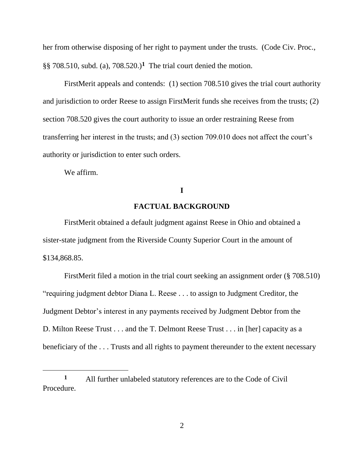her from otherwise disposing of her right to payment under the trusts. (Code Civ. Proc.,  $\S$ § 708.510, subd. (a), 708.520.)<sup>1</sup> The trial court denied the motion.

FirstMerit appeals and contends: (1) section 708.510 gives the trial court authority and jurisdiction to order Reese to assign FirstMerit funds she receives from the trusts; (2) section 708.520 gives the court authority to issue an order restraining Reese from transferring her interest in the trusts; and (3) section 709.010 does not affect the court's authority or jurisdiction to enter such orders.

We affirm.

 $\overline{a}$ 

## **I**

# **FACTUAL BACKGROUND**

FirstMerit obtained a default judgment against Reese in Ohio and obtained a sister-state judgment from the Riverside County Superior Court in the amount of \$134,868.85.

FirstMerit filed a motion in the trial court seeking an assignment order (§ 708.510) "requiring judgment debtor Diana L. Reese . . . to assign to Judgment Creditor, the Judgment Debtor's interest in any payments received by Judgment Debtor from the D. Milton Reese Trust . . . and the T. Delmont Reese Trust . . . in [her] capacity as a beneficiary of the . . . Trusts and all rights to payment thereunder to the extent necessary

**<sup>1</sup>** All further unlabeled statutory references are to the Code of Civil Procedure.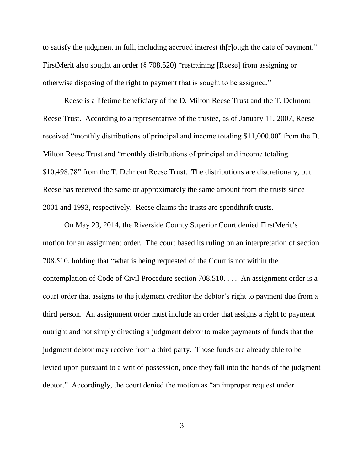to satisfy the judgment in full, including accrued interest th[r]ough the date of payment." FirstMerit also sought an order (§ 708.520) "restraining [Reese] from assigning or otherwise disposing of the right to payment that is sought to be assigned."

Reese is a lifetime beneficiary of the D. Milton Reese Trust and the T. Delmont Reese Trust. According to a representative of the trustee, as of January 11, 2007, Reese received "monthly distributions of principal and income totaling \$11,000.00" from the D. Milton Reese Trust and "monthly distributions of principal and income totaling \$10,498.78" from the T. Delmont Reese Trust. The distributions are discretionary, but Reese has received the same or approximately the same amount from the trusts since 2001 and 1993, respectively. Reese claims the trusts are spendthrift trusts.

On May 23, 2014, the Riverside County Superior Court denied FirstMerit's motion for an assignment order. The court based its ruling on an interpretation of section 708.510, holding that "what is being requested of the Court is not within the contemplation of Code of Civil Procedure section 708.510. . . . An assignment order is a court order that assigns to the judgment creditor the debtor's right to payment due from a third person. An assignment order must include an order that assigns a right to payment outright and not simply directing a judgment debtor to make payments of funds that the judgment debtor may receive from a third party. Those funds are already able to be levied upon pursuant to a writ of possession, once they fall into the hands of the judgment debtor." Accordingly, the court denied the motion as "an improper request under

3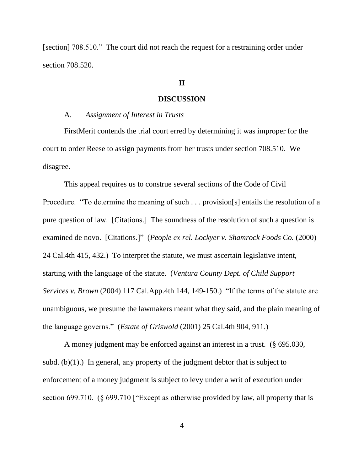[section] 708.510." The court did not reach the request for a restraining order under section 708.520.

# **II**

#### **DISCUSSION**

#### A. *Assignment of Interest in Trusts*

FirstMerit contends the trial court erred by determining it was improper for the court to order Reese to assign payments from her trusts under section 708.510. We disagree.

This appeal requires us to construe several sections of the Code of Civil Procedure. "To determine the meaning of such . . . provision[s] entails the resolution of a pure question of law. [Citations.] The soundness of the resolution of such a question is examined de novo. [Citations.]" (*People ex rel. Lockyer v. Shamrock Foods Co.* (2000) 24 Cal.4th 415, 432.) To interpret the statute, we must ascertain legislative intent, starting with the language of the statute. (*Ventura County Dept. of Child Support Services v. Brown* (2004) 117 Cal.App.4th 144, 149-150.) "If the terms of the statute are unambiguous, we presume the lawmakers meant what they said, and the plain meaning of the language governs." (*Estate of Griswold* (2001) 25 Cal.4th 904, 911.)

A money judgment may be enforced against an interest in a trust. (§ 695.030, subd. (b) $(1)$ .) In general, any property of the judgment debtor that is subject to enforcement of a money judgment is subject to levy under a writ of execution under section 699.710. (§ 699.710 ["Except as otherwise provided by law, all property that is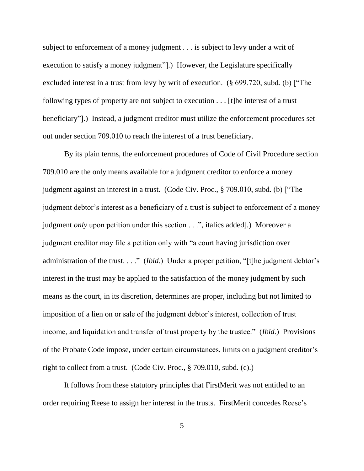subject to enforcement of a money judgment . . . is subject to levy under a writ of execution to satisfy a money judgment"].) However, the Legislature specifically excluded interest in a trust from levy by writ of execution. (§ 699.720, subd. (b) ["The following types of property are not subject to execution . . . [t]he interest of a trust beneficiary"].) Instead, a judgment creditor must utilize the enforcement procedures set out under section 709.010 to reach the interest of a trust beneficiary.

By its plain terms, the enforcement procedures of Code of Civil Procedure section 709.010 are the only means available for a judgment creditor to enforce a money judgment against an interest in a trust. (Code Civ. Proc., § 709.010, subd. (b) ["The judgment debtor's interest as a beneficiary of a trust is subject to enforcement of a money judgment *only* upon petition under this section . . .", italics added].) Moreover a judgment creditor may file a petition only with "a court having jurisdiction over administration of the trust. . . ." (*Ibid*.) Under a proper petition, "[t]he judgment debtor's interest in the trust may be applied to the satisfaction of the money judgment by such means as the court, in its discretion, determines are proper, including but not limited to imposition of a lien on or sale of the judgment debtor's interest, collection of trust income, and liquidation and transfer of trust property by the trustee." (*Ibid*.) Provisions of the Probate Code impose, under certain circumstances, limits on a judgment creditor's right to collect from a trust. (Code Civ. Proc., § 709.010, subd. (c).)

It follows from these statutory principles that FirstMerit was not entitled to an order requiring Reese to assign her interest in the trusts. FirstMerit concedes Reese's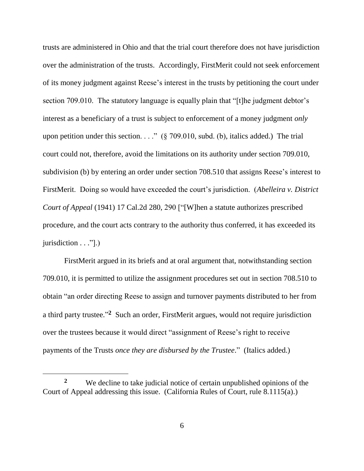trusts are administered in Ohio and that the trial court therefore does not have jurisdiction over the administration of the trusts. Accordingly, FirstMerit could not seek enforcement of its money judgment against Reese's interest in the trusts by petitioning the court under section 709.010. The statutory language is equally plain that "[t]he judgment debtor's interest as a beneficiary of a trust is subject to enforcement of a money judgment *only*  upon petition under this section. . . . " ( $\S$  709.010, subd. (b), italics added.) The trial court could not, therefore, avoid the limitations on its authority under section 709.010, subdivision (b) by entering an order under section 708.510 that assigns Reese's interest to FirstMerit. Doing so would have exceeded the court's jurisdiction. (*Abelleira v. District Court of Appeal* (1941) 17 Cal.2d 280, 290 ["[W]hen a statute authorizes prescribed procedure, and the court acts contrary to the authority thus conferred, it has exceeded its jurisdiction . . ."[.]

FirstMerit argued in its briefs and at oral argument that, notwithstanding section 709.010, it is permitted to utilize the assignment procedures set out in section 708.510 to obtain "an order directing Reese to assign and turnover payments distributed to her from a third party trustee."<sup>2</sup> Such an order, FirstMerit argues, would not require jurisdiction over the trustees because it would direct "assignment of Reese's right to receive payments of the Trusts *once they are disbursed by the Trustee*." (Italics added.)

 $\overline{a}$ 

**<sup>2</sup>** We decline to take judicial notice of certain unpublished opinions of the Court of Appeal addressing this issue. (California Rules of Court, rule 8.1115(a).)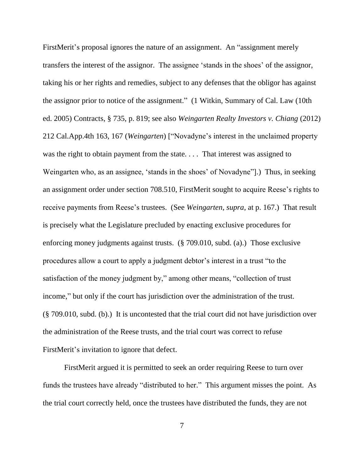FirstMerit's proposal ignores the nature of an assignment. An "assignment merely transfers the interest of the assignor. The assignee 'stands in the shoes' of the assignor, taking his or her rights and remedies, subject to any defenses that the obligor has against the assignor prior to notice of the assignment." (1 Witkin, Summary of Cal. Law (10th ed. 2005) Contracts, § 735, p. 819; see also *Weingarten Realty Investors v. Chiang* (2012) 212 Cal.App.4th 163, 167 (*Weingarten*) ["Novadyne's interest in the unclaimed property was the right to obtain payment from the state.... That interest was assigned to Weingarten who, as an assignee, 'stands in the shoes' of Novadyne"].) Thus, in seeking an assignment order under section 708.510, FirstMerit sought to acquire Reese's rights to receive payments from Reese's trustees. (See *Weingarten*, *supra*, at p. 167.)That result is precisely what the Legislature precluded by enacting exclusive procedures for enforcing money judgments against trusts. (§ 709.010, subd. (a).) Those exclusive procedures allow a court to apply a judgment debtor's interest in a trust "to the satisfaction of the money judgment by," among other means, "collection of trust income," but only if the court has jurisdiction over the administration of the trust. (§ 709.010, subd. (b).) It is uncontested that the trial court did not have jurisdiction over the administration of the Reese trusts, and the trial court was correct to refuse FirstMerit's invitation to ignore that defect.

FirstMerit argued it is permitted to seek an order requiring Reese to turn over funds the trustees have already "distributed to her." This argument misses the point. As the trial court correctly held, once the trustees have distributed the funds, they are not

7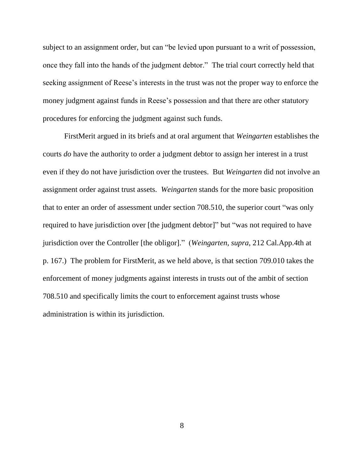subject to an assignment order, but can "be levied upon pursuant to a writ of possession, once they fall into the hands of the judgment debtor." The trial court correctly held that seeking assignment of Reese's interests in the trust was not the proper way to enforce the money judgment against funds in Reese's possession and that there are other statutory procedures for enforcing the judgment against such funds.

FirstMerit argued in its briefs and at oral argument that *Weingarten* establishes the courts *do* have the authority to order a judgment debtor to assign her interest in a trust even if they do not have jurisdiction over the trustees. But *Weingarten* did not involve an assignment order against trust assets. *Weingarten* stands for the more basic proposition that to enter an order of assessment under section 708.510, the superior court "was only required to have jurisdiction over [the judgment debtor]" but "was not required to have jurisdiction over the Controller [the obligor]." (*Weingarten*, *supra*, 212 Cal.App.4th at p. 167.) The problem for FirstMerit, as we held above, is that section 709.010 takes the enforcement of money judgments against interests in trusts out of the ambit of section 708.510 and specifically limits the court to enforcement against trusts whose administration is within its jurisdiction.